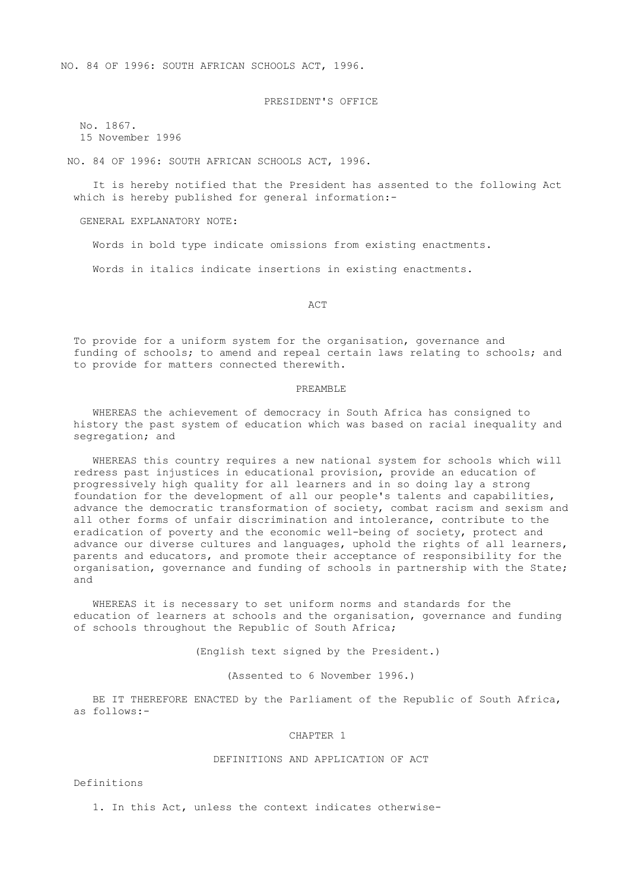NO. 84 OF 1996: SOUTH AFRICAN SCHOOLS ACT, 1996.

PRESIDENT'S OFFICE

 No. 1867. 15 November 1996

NO. 84 OF 1996: SOUTH AFRICAN SCHOOLS ACT, 1996.

 It is hereby notified that the President has assented to the following Act which is hereby published for general information:-

GENERAL EXPLANATORY NOTE:

Words in bold type indicate omissions from existing enactments.

Words in italics indicate insertions in existing enactments.

ACT

 To provide for a uniform system for the organisation, governance and funding of schools; to amend and repeal certain laws relating to schools; and to provide for matters connected therewith.

### PREAMBLE

 WHEREAS the achievement of democracy in South Africa has consigned to history the past system of education which was based on racial inequality and segregation; and

 WHEREAS this country requires a new national system for schools which will redress past injustices in educational provision, provide an education of progressively high quality for all learners and in so doing lay a strong foundation for the development of all our people's talents and capabilities, advance the democratic transformation of society, combat racism and sexism and all other forms of unfair discrimination and intolerance, contribute to the eradication of poverty and the economic well-being of society, protect and advance our diverse cultures and languages, uphold the rights of all learners, parents and educators, and promote their acceptance of responsibility for the organisation, governance and funding of schools in partnership with the State; and

 WHEREAS it is necessary to set uniform norms and standards for the education of learners at schools and the organisation, governance and funding of schools throughout the Republic of South Africa;

(English text signed by the President.)

(Assented to 6 November 1996.)

BE IT THEREFORE ENACTED by the Parliament of the Republic of South Africa, as follows:-

### CHAPTER 1

# DEFINITIONS AND APPLICATION OF ACT

Definitions

1. In this Act, unless the context indicates otherwise-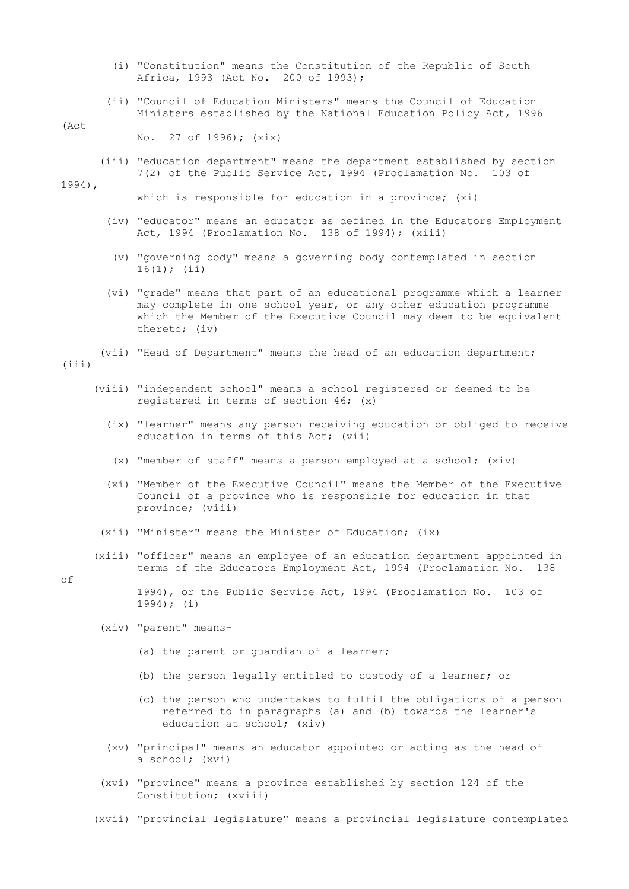- (i) "Constitution" means the Constitution of the Republic of South Africa, 1993 (Act No. 200 of 1993);
- (ii) "Council of Education Ministers" means the Council of Education Ministers established by the National Education Policy Act, 1996

#### (Act

No. 27 of 1996); (xix)

 (iii) "education department" means the department established by section 7(2) of the Public Service Act, 1994 (Proclamation No. 103 of

1994),

which is responsible for education in a province; (xi)

- (iv) "educator" means an educator as defined in the Educators Employment Act, 1994 (Proclamation No. 138 of 1994); (xiii)
- (v) "governing body" means a governing body contemplated in section  $16(1);$  (ii)
- (vi) "grade" means that part of an educational programme which a learner may complete in one school year, or any other education programme which the Member of the Executive Council may deem to be equivalent thereto; (iv)
- (vii) "Head of Department" means the head of an education department;

 $(iii)$ 

- (viii) "independent school" means a school registered or deemed to be registered in terms of section 46; (x)
	- (ix) "learner" means any person receiving education or obliged to receive education in terms of this Act; (vii)
	- (x) "member of staff" means a person employed at a school; (xiv)
	- (xi) "Member of the Executive Council" means the Member of the Executive Council of a province who is responsible for education in that province; (viii)
	- (xii) "Minister" means the Minister of Education; (ix)
- (xiii) "officer" means an employee of an education department appointed in terms of the Educators Employment Act, 1994 (Proclamation No. 138

of

 1994), or the Public Service Act, 1994 (Proclamation No. 103 of 1994); (i)

- (xiv) "parent" means-
	- (a) the parent or guardian of a learner;
	- (b) the person legally entitled to custody of a learner; or
	- (c) the person who undertakes to fulfil the obligations of a person referred to in paragraphs (a) and (b) towards the learner's education at school; (xiv)
- (xv) "principal" means an educator appointed or acting as the head of a school; (xvi)
- (xvi) "province" means a province established by section 124 of the Constitution; (xviii)
- (xvii) "provincial legislature" means a provincial legislature contemplated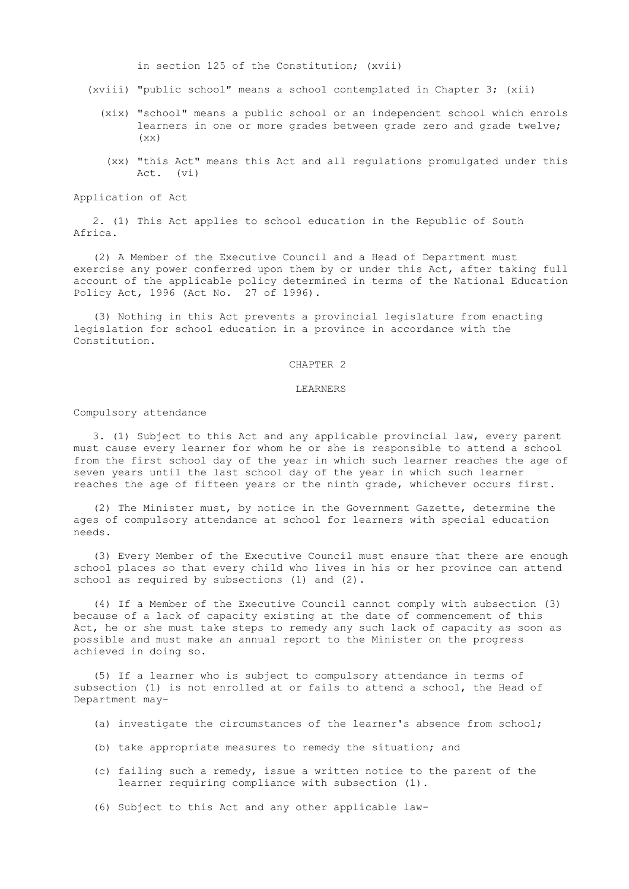in section 125 of the Constitution; (xvii)

- (xviii) "public school" means a school contemplated in Chapter 3; (xii)
	- (xix) "school" means a public school or an independent school which enrols learners in one or more grades between grade zero and grade twelve;  $(xx)$ 
		- (xx) "this Act" means this Act and all regulations promulgated under this Act. (vi)

Application of Act

 2. (1) This Act applies to school education in the Republic of South Africa.

 (2) A Member of the Executive Council and a Head of Department must exercise any power conferred upon them by or under this Act, after taking full account of the applicable policy determined in terms of the National Education Policy Act, 1996 (Act No. 27 of 1996).

 (3) Nothing in this Act prevents a provincial legislature from enacting legislation for school education in a province in accordance with the Constitution.

### CHAPTER 2

# LEARNERS

# Compulsory attendance

 3. (1) Subject to this Act and any applicable provincial law, every parent must cause every learner for whom he or she is responsible to attend a school from the first school day of the year in which such learner reaches the age of seven years until the last school day of the year in which such learner reaches the age of fifteen years or the ninth grade, whichever occurs first.

 (2) The Minister must, by notice in the Government Gazette, determine the ages of compulsory attendance at school for learners with special education needs.

 (3) Every Member of the Executive Council must ensure that there are enough school places so that every child who lives in his or her province can attend school as required by subsections (1) and (2).

 (4) If a Member of the Executive Council cannot comply with subsection (3) because of a lack of capacity existing at the date of commencement of this Act, he or she must take steps to remedy any such lack of capacity as soon as possible and must make an annual report to the Minister on the progress achieved in doing so.

 (5) If a learner who is subject to compulsory attendance in terms of subsection (1) is not enrolled at or fails to attend a school, the Head of Department may-

- (a) investigate the circumstances of the learner's absence from school;
- (b) take appropriate measures to remedy the situation; and
- (c) failing such a remedy, issue a written notice to the parent of the learner requiring compliance with subsection (1).
- (6) Subject to this Act and any other applicable law-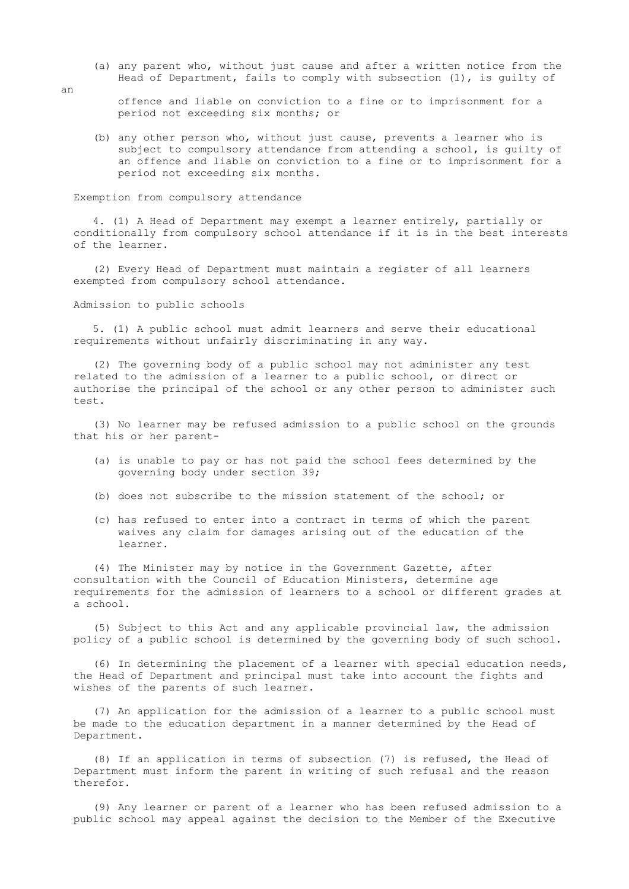- (a) any parent who, without just cause and after a written notice from the Head of Department, fails to comply with subsection (1), is guilty of
	- offence and liable on conviction to a fine or to imprisonment for a period not exceeding six months; or
- (b) any other person who, without just cause, prevents a learner who is subject to compulsory attendance from attending a school, is guilty of an offence and liable on conviction to a fine or to imprisonment for a period not exceeding six months.

Exemption from compulsory attendance

 4. (1) A Head of Department may exempt a learner entirely, partially or conditionally from compulsory school attendance if it is in the best interests of the learner.

 (2) Every Head of Department must maintain a register of all learners exempted from compulsory school attendance.

Admission to public schools

 5. (1) A public school must admit learners and serve their educational requirements without unfairly discriminating in any way.

 (2) The governing body of a public school may not administer any test related to the admission of a learner to a public school, or direct or authorise the principal of the school or any other person to administer such test.

 (3) No learner may be refused admission to a public school on the grounds that his or her parent-

- (a) is unable to pay or has not paid the school fees determined by the governing body under section 39;
- (b) does not subscribe to the mission statement of the school; or
- (c) has refused to enter into a contract in terms of which the parent waives any claim for damages arising out of the education of the learner.

 (4) The Minister may by notice in the Government Gazette, after consultation with the Council of Education Ministers, determine age requirements for the admission of learners to a school or different grades at a school.

 (5) Subject to this Act and any applicable provincial law, the admission policy of a public school is determined by the governing body of such school.

 (6) In determining the placement of a learner with special education needs, the Head of Department and principal must take into account the fights and wishes of the parents of such learner.

 (7) An application for the admission of a learner to a public school must be made to the education department in a manner determined by the Head of Department.

 (8) If an application in terms of subsection (7) is refused, the Head of Department must inform the parent in writing of such refusal and the reason therefor.

 (9) Any learner or parent of a learner who has been refused admission to a public school may appeal against the decision to the Member of the Executive

an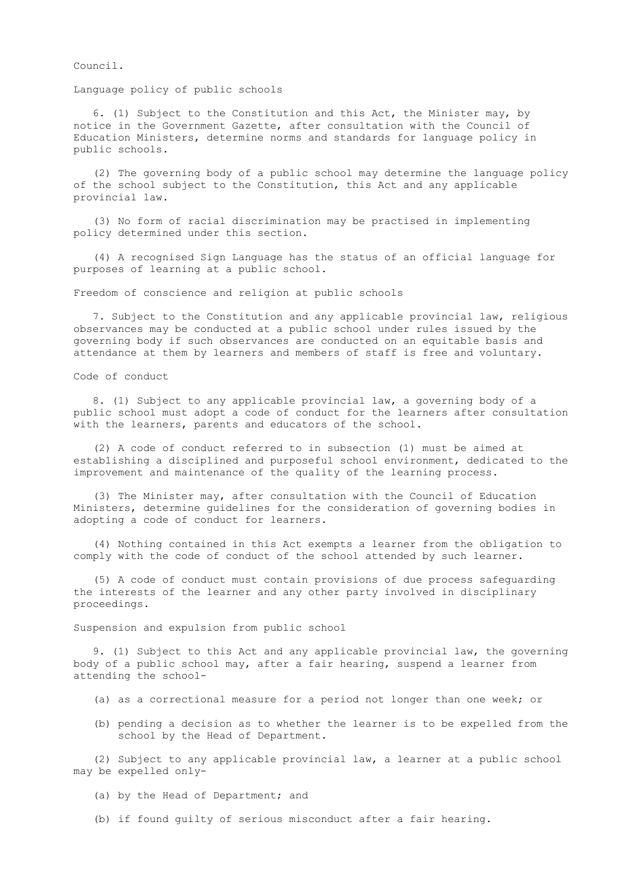Council.

Language policy of public schools

 6. (1) Subject to the Constitution and this Act, the Minister may, by notice in the Government Gazette, after consultation with the Council of Education Ministers, determine norms and standards for language policy in public schools.

 (2) The governing body of a public school may determine the language policy of the school subject to the Constitution, this Act and any applicable provincial law.

 (3) No form of racial discrimination may be practised in implementing policy determined under this section.

 (4) A recognised Sign Language has the status of an official language for purposes of learning at a public school.

Freedom of conscience and religion at public schools

 7. Subject to the Constitution and any applicable provincial law, religious observances may be conducted at a public school under rules issued by the governing body if such observances are conducted on an equitable basis and attendance at them by learners and members of staff is free and voluntary.

Code of conduct

 8. (1) Subject to any applicable provincial law, a governing body of a public school must adopt a code of conduct for the learners after consultation with the learners, parents and educators of the school.

 (2) A code of conduct referred to in subsection (1) must be aimed at establishing a disciplined and purposeful school environment, dedicated to the improvement and maintenance of the quality of the learning process.

 (3) The Minister may, after consultation with the Council of Education Ministers, determine guidelines for the consideration of governing bodies in adopting a code of conduct for learners.

 (4) Nothing contained in this Act exempts a learner from the obligation to comply with the code of conduct of the school attended by such learner.

 (5) A code of conduct must contain provisions of due process safeguarding the interests of the learner and any other party involved in disciplinary proceedings.

Suspension and expulsion from public school

 9. (1) Subject to this Act and any applicable provincial law, the governing body of a public school may, after a fair hearing, suspend a learner from attending the school-

(a) as a correctional measure for a period not longer than one week; or

 (b) pending a decision as to whether the learner is to be expelled from the school by the Head of Department.

 (2) Subject to any applicable provincial law, a learner at a public school may be expelled only-

(a) by the Head of Department; and

(b) if found guilty of serious misconduct after a fair hearing.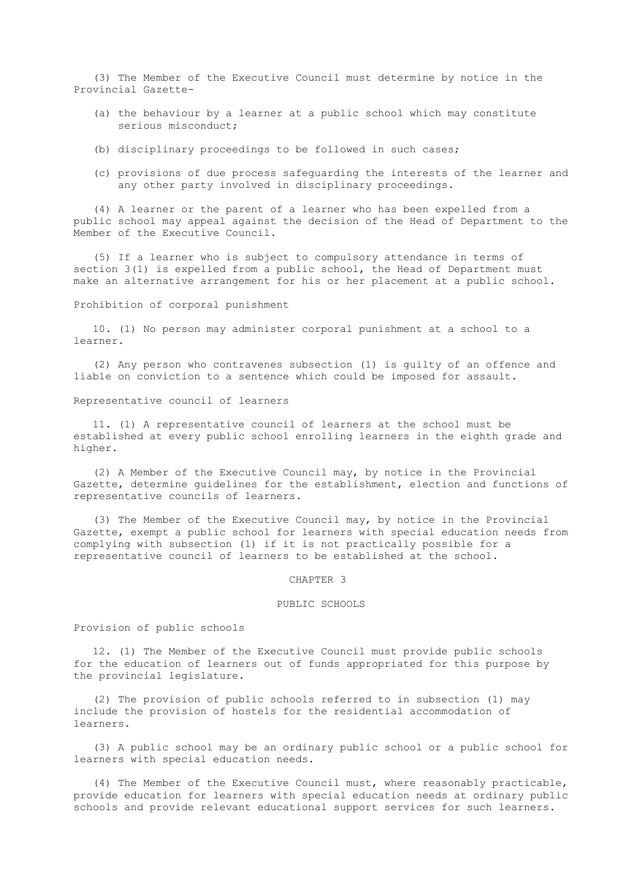(3) The Member of the Executive Council must determine by notice in the Provincial Gazette-

- (a) the behaviour by a learner at a public school which may constitute serious misconduct;
- (b) disciplinary proceedings to be followed in such cases;
- (c) provisions of due process safeguarding the interests of the learner and any other party involved in disciplinary proceedings.

 (4) A learner or the parent of a learner who has been expelled from a public school may appeal against the decision of the Head of Department to the Member of the Executive Council.

 (5) If a learner who is subject to compulsory attendance in terms of section 3(1) is expelled from a public school, the Head of Department must make an alternative arrangement for his or her placement at a public school.

#### Prohibition of corporal punishment

 10. (1) No person may administer corporal punishment at a school to a learner.

 (2) Any person who contravenes subsection (1) is guilty of an offence and liable on conviction to a sentence which could be imposed for assault.

# Representative council of learners

 11. (1) A representative council of learners at the school must be established at every public school enrolling learners in the eighth grade and higher.

 (2) A Member of the Executive Council may, by notice in the Provincial Gazette, determine guidelines for the establishment, election and functions of representative councils of learners.

 (3) The Member of the Executive Council may, by notice in the Provincial Gazette, exempt a public school for learners with special education needs from complying with subsection (1) if it is not practically possible for a representative council of learners to be established at the school.

#### CHAPTER 3

#### PUBLIC SCHOOLS

Provision of public schools

 12. (1) The Member of the Executive Council must provide public schools for the education of learners out of funds appropriated for this purpose by the provincial legislature.

 (2) The provision of public schools referred to in subsection (1) may include the provision of hostels for the residential accommodation of learners.

 (3) A public school may be an ordinary public school or a public school for learners with special education needs.

 (4) The Member of the Executive Council must, where reasonably practicable, provide education for learners with special education needs at ordinary public schools and provide relevant educational support services for such learners.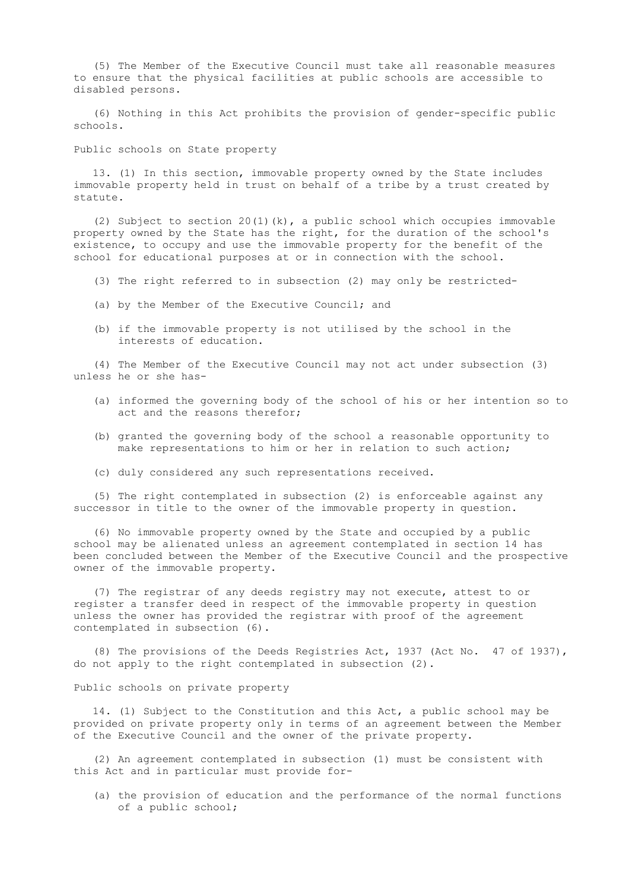(5) The Member of the Executive Council must take all reasonable measures to ensure that the physical facilities at public schools are accessible to disabled persons.

 (6) Nothing in this Act prohibits the provision of gender-specific public schools.

Public schools on State property

 13. (1) In this section, immovable property owned by the State includes immovable property held in trust on behalf of a tribe by a trust created by statute.

 (2) Subject to section 20(1)(k), a public school which occupies immovable property owned by the State has the right, for the duration of the school's existence, to occupy and use the immovable property for the benefit of the school for educational purposes at or in connection with the school.

- (3) The right referred to in subsection (2) may only be restricted-
- (a) by the Member of the Executive Council; and
- (b) if the immovable property is not utilised by the school in the interests of education.

 (4) The Member of the Executive Council may not act under subsection (3) unless he or she has-

- (a) informed the governing body of the school of his or her intention so to act and the reasons therefor;
- (b) granted the governing body of the school a reasonable opportunity to make representations to him or her in relation to such action;
- (c) duly considered any such representations received.

 (5) The right contemplated in subsection (2) is enforceable against any successor in title to the owner of the immovable property in question.

 (6) No immovable property owned by the State and occupied by a public school may be alienated unless an agreement contemplated in section 14 has been concluded between the Member of the Executive Council and the prospective owner of the immovable property.

 (7) The registrar of any deeds registry may not execute, attest to or register a transfer deed in respect of the immovable property in question unless the owner has provided the registrar with proof of the agreement contemplated in subsection (6).

 (8) The provisions of the Deeds Registries Act, 1937 (Act No. 47 of 1937), do not apply to the right contemplated in subsection (2).

Public schools on private property

 14. (1) Subject to the Constitution and this Act, a public school may be provided on private property only in terms of an agreement between the Member of the Executive Council and the owner of the private property.

 (2) An agreement contemplated in subsection (1) must be consistent with this Act and in particular must provide for-

 (a) the provision of education and the performance of the normal functions of a public school;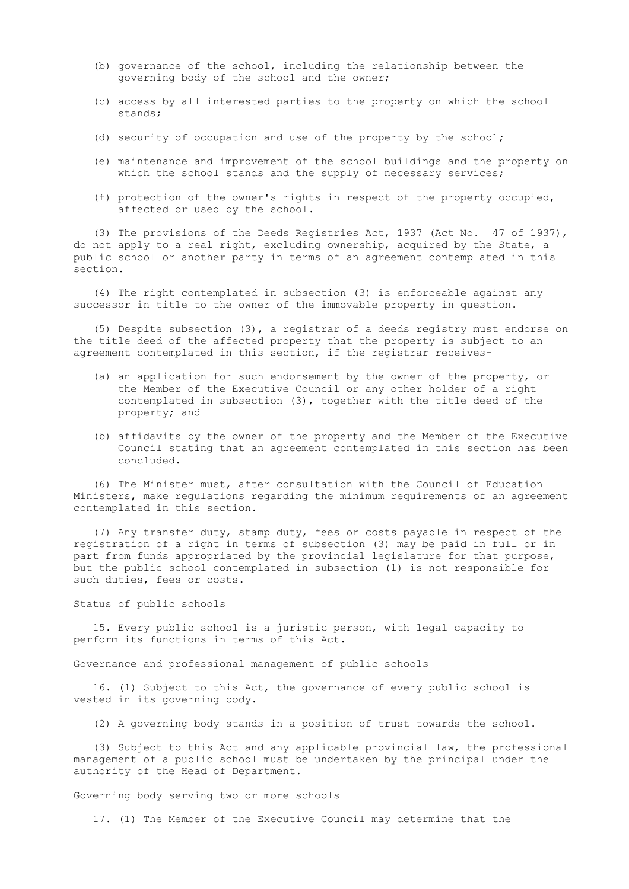- (b) governance of the school, including the relationship between the governing body of the school and the owner;
- (c) access by all interested parties to the property on which the school stands;
- (d) security of occupation and use of the property by the school;
- (e) maintenance and improvement of the school buildings and the property on which the school stands and the supply of necessary services;
- (f) protection of the owner's rights in respect of the property occupied, affected or used by the school.

 (3) The provisions of the Deeds Registries Act, 1937 (Act No. 47 of 1937), do not apply to a real right, excluding ownership, acquired by the State, a public school or another party in terms of an agreement contemplated in this section.

 (4) The right contemplated in subsection (3) is enforceable against any successor in title to the owner of the immovable property in question.

 (5) Despite subsection (3), a registrar of a deeds registry must endorse on the title deed of the affected property that the property is subject to an agreement contemplated in this section, if the registrar receives-

- (a) an application for such endorsement by the owner of the property, or the Member of the Executive Council or any other holder of a right contemplated in subsection (3), together with the title deed of the property; and
- (b) affidavits by the owner of the property and the Member of the Executive Council stating that an agreement contemplated in this section has been concluded.

 (6) The Minister must, after consultation with the Council of Education Ministers, make regulations regarding the minimum requirements of an agreement contemplated in this section.

 (7) Any transfer duty, stamp duty, fees or costs payable in respect of the registration of a right in terms of subsection (3) may be paid in full or in part from funds appropriated by the provincial legislature for that purpose, but the public school contemplated in subsection (1) is not responsible for such duties, fees or costs.

### Status of public schools

 15. Every public school is a juristic person, with legal capacity to perform its functions in terms of this Act.

Governance and professional management of public schools

 16. (1) Subject to this Act, the governance of every public school is vested in its governing body.

(2) A governing body stands in a position of trust towards the school.

 (3) Subject to this Act and any applicable provincial law, the professional management of a public school must be undertaken by the principal under the authority of the Head of Department.

Governing body serving two or more schools

17. (1) The Member of the Executive Council may determine that the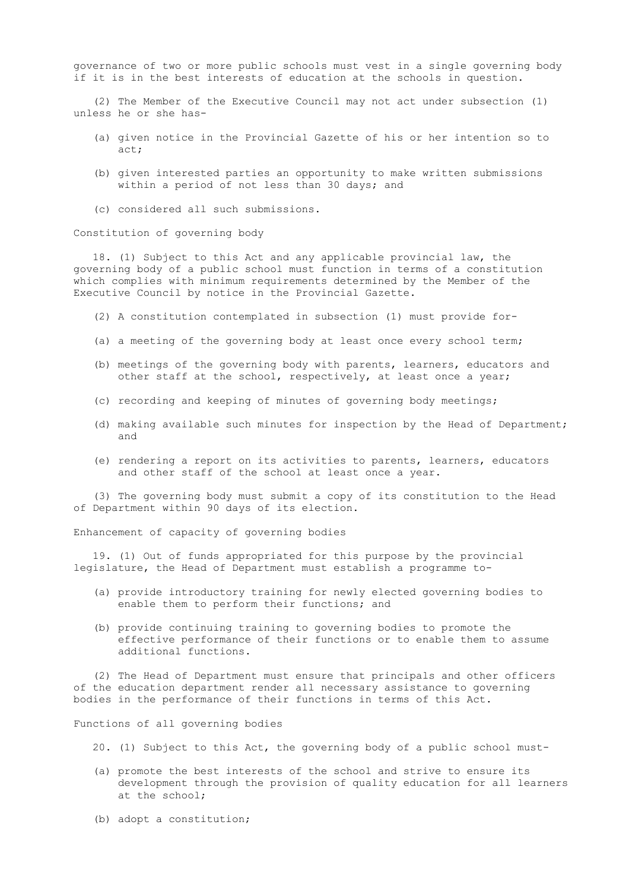governance of two or more public schools must vest in a single governing body if it is in the best interests of education at the schools in question.

 (2) The Member of the Executive Council may not act under subsection (1) unless he or she has-

- (a) given notice in the Provincial Gazette of his or her intention so to act;
- (b) given interested parties an opportunity to make written submissions within a period of not less than 30 days; and
- (c) considered all such submissions.

Constitution of governing body

 18. (1) Subject to this Act and any applicable provincial law, the governing body of a public school must function in terms of a constitution which complies with minimum requirements determined by the Member of the Executive Council by notice in the Provincial Gazette.

- (2) A constitution contemplated in subsection (1) must provide for-
- (a) a meeting of the governing body at least once every school term;
- (b) meetings of the governing body with parents, learners, educators and other staff at the school, respectively, at least once a year;
- (c) recording and keeping of minutes of governing body meetings;
- (d) making available such minutes for inspection by the Head of Department; and
- (e) rendering a report on its activities to parents, learners, educators and other staff of the school at least once a year.

 (3) The governing body must submit a copy of its constitution to the Head of Department within 90 days of its election.

Enhancement of capacity of governing bodies

 19. (1) Out of funds appropriated for this purpose by the provincial legislature, the Head of Department must establish a programme to-

- (a) provide introductory training for newly elected governing bodies to enable them to perform their functions; and
- (b) provide continuing training to governing bodies to promote the effective performance of their functions or to enable them to assume additional functions.

 (2) The Head of Department must ensure that principals and other officers of the education department render all necessary assistance to governing bodies in the performance of their functions in terms of this Act.

Functions of all governing bodies

- 20. (1) Subject to this Act, the governing body of a public school must-
- (a) promote the best interests of the school and strive to ensure its development through the provision of quality education for all learners at the school;
- (b) adopt a constitution;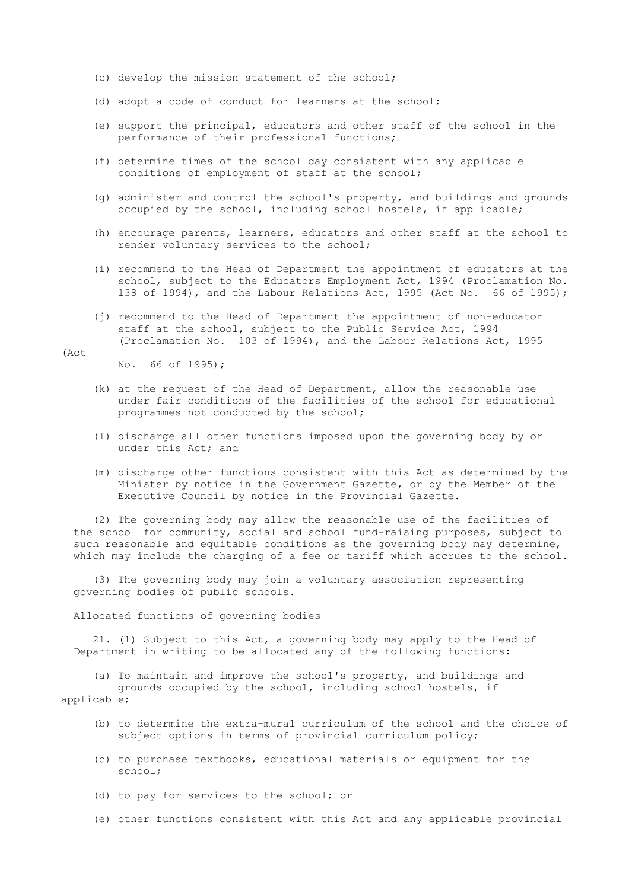- (c) develop the mission statement of the school;
- (d) adopt a code of conduct for learners at the school;
- (e) support the principal, educators and other staff of the school in the performance of their professional functions;
- (f) determine times of the school day consistent with any applicable conditions of employment of staff at the school;
- (g) administer and control the school's property, and buildings and grounds occupied by the school, including school hostels, if applicable;
- (h) encourage parents, learners, educators and other staff at the school to render voluntary services to the school;
- (i) recommend to the Head of Department the appointment of educators at the school, subject to the Educators Employment Act, 1994 (Proclamation No. 138 of 1994), and the Labour Relations Act, 1995 (Act No. 66 of 1995);
- (j) recommend to the Head of Department the appointment of non-educator staff at the school, subject to the Public Service Act, 1994 (Proclamation No. 103 of 1994), and the Labour Relations Act, 1995

(Act

No. 66 of 1995);

- (k) at the request of the Head of Department, allow the reasonable use under fair conditions of the facilities of the school for educational programmes not conducted by the school;
- (l) discharge all other functions imposed upon the governing body by or under this Act; and
- (m) discharge other functions consistent with this Act as determined by the Minister by notice in the Government Gazette, or by the Member of the Executive Council by notice in the Provincial Gazette.

 (2) The governing body may allow the reasonable use of the facilities of the school for community, social and school fund-raising purposes, subject to such reasonable and equitable conditions as the governing body may determine, which may include the charging of a fee or tariff which accrues to the school.

 (3) The governing body may join a voluntary association representing governing bodies of public schools.

Allocated functions of governing bodies

 21. (1) Subject to this Act, a governing body may apply to the Head of Department in writing to be allocated any of the following functions:

(a) To maintain and improve the school's property, and buildings and

 grounds occupied by the school, including school hostels, if applicable;

- (b) to determine the extra-mural curriculum of the school and the choice of subject options in terms of provincial curriculum policy;
- (c) to purchase textbooks, educational materials or equipment for the school;
- (d) to pay for services to the school; or
- (e) other functions consistent with this Act and any applicable provincial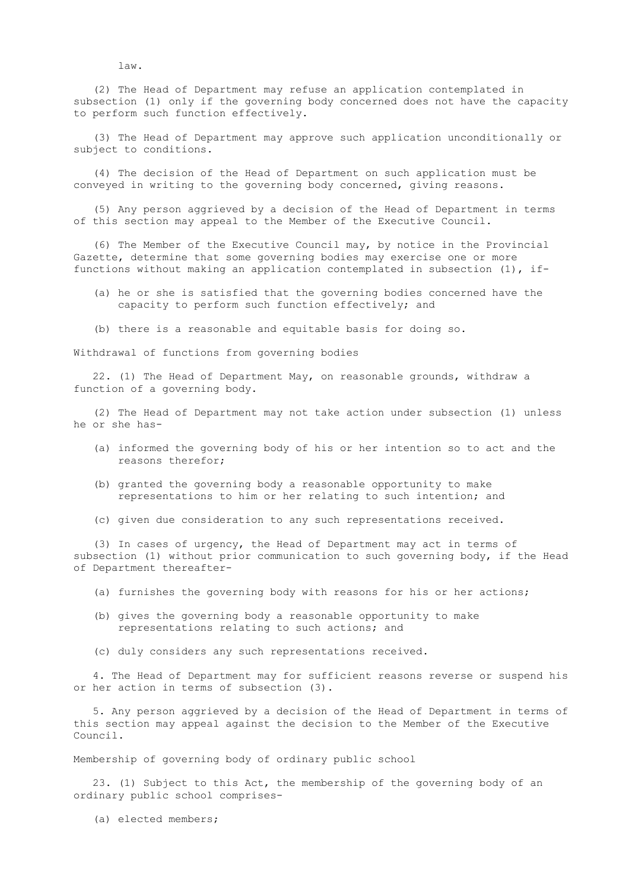law.

 (2) The Head of Department may refuse an application contemplated in subsection (1) only if the governing body concerned does not have the capacity to perform such function effectively.

 (3) The Head of Department may approve such application unconditionally or subject to conditions.

 (4) The decision of the Head of Department on such application must be conveyed in writing to the governing body concerned, giving reasons.

 (5) Any person aggrieved by a decision of the Head of Department in terms of this section may appeal to the Member of the Executive Council.

 (6) The Member of the Executive Council may, by notice in the Provincial Gazette, determine that some governing bodies may exercise one or more functions without making an application contemplated in subsection (1), if-

- (a) he or she is satisfied that the governing bodies concerned have the capacity to perform such function effectively; and
- (b) there is a reasonable and equitable basis for doing so.

Withdrawal of functions from governing bodies

 22. (1) The Head of Department May, on reasonable grounds, withdraw a function of a governing body.

 (2) The Head of Department may not take action under subsection (1) unless he or she has-

- (a) informed the governing body of his or her intention so to act and the reasons therefor;
- (b) granted the governing body a reasonable opportunity to make representations to him or her relating to such intention; and
- (c) given due consideration to any such representations received.

 (3) In cases of urgency, the Head of Department may act in terms of subsection (1) without prior communication to such governing body, if the Head of Department thereafter-

- (a) furnishes the governing body with reasons for his or her actions;
- (b) gives the governing body a reasonable opportunity to make representations relating to such actions; and
- (c) duly considers any such representations received.

 4. The Head of Department may for sufficient reasons reverse or suspend his or her action in terms of subsection (3).

 5. Any person aggrieved by a decision of the Head of Department in terms of this section may appeal against the decision to the Member of the Executive Council.

Membership of governing body of ordinary public school

 23. (1) Subject to this Act, the membership of the governing body of an ordinary public school comprises-

(a) elected members;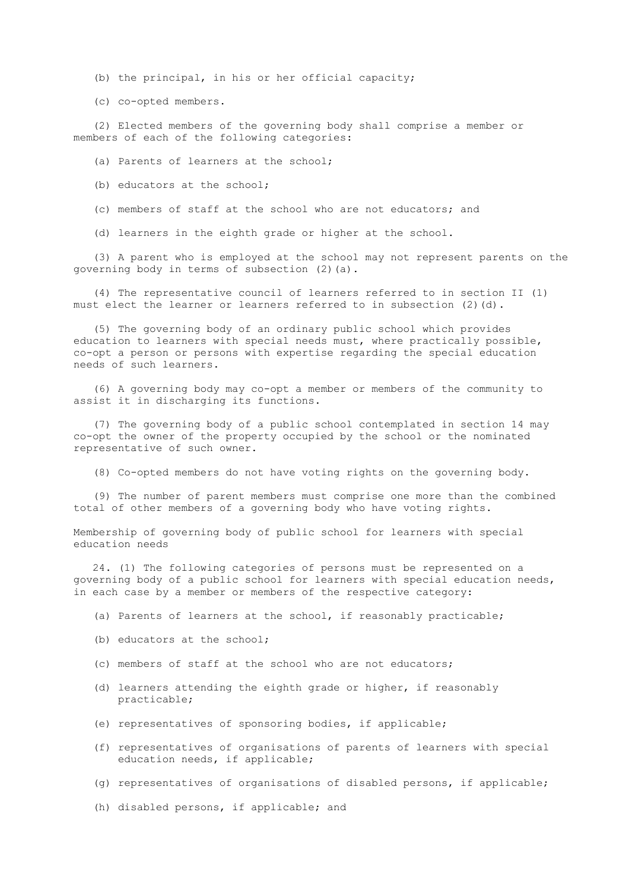- (b) the principal, in his or her official capacity;
- (c) co-opted members.

 (2) Elected members of the governing body shall comprise a member or members of each of the following categories:

- (a) Parents of learners at the school;
- (b) educators at the school;
- (c) members of staff at the school who are not educators; and
- (d) learners in the eighth grade or higher at the school.

 (3) A parent who is employed at the school may not represent parents on the governing body in terms of subsection (2)(a).

 (4) The representative council of learners referred to in section II (1) must elect the learner or learners referred to in subsection (2)(d).

 (5) The governing body of an ordinary public school which provides education to learners with special needs must, where practically possible, co-opt a person or persons with expertise regarding the special education needs of such learners.

 (6) A governing body may co-opt a member or members of the community to assist it in discharging its functions.

 (7) The governing body of a public school contemplated in section 14 may co-opt the owner of the property occupied by the school or the nominated representative of such owner.

(8) Co-opted members do not have voting rights on the governing body.

 (9) The number of parent members must comprise one more than the combined total of other members of a governing body who have voting rights.

 Membership of governing body of public school for learners with special education needs

 24. (1) The following categories of persons must be represented on a governing body of a public school for learners with special education needs, in each case by a member or members of the respective category:

- (a) Parents of learners at the school, if reasonably practicable;
- (b) educators at the school;
- (c) members of staff at the school who are not educators;
- (d) learners attending the eighth grade or higher, if reasonably practicable;
- (e) representatives of sponsoring bodies, if applicable;
- (f) representatives of organisations of parents of learners with special education needs, if applicable;
- (g) representatives of organisations of disabled persons, if applicable;
- (h) disabled persons, if applicable; and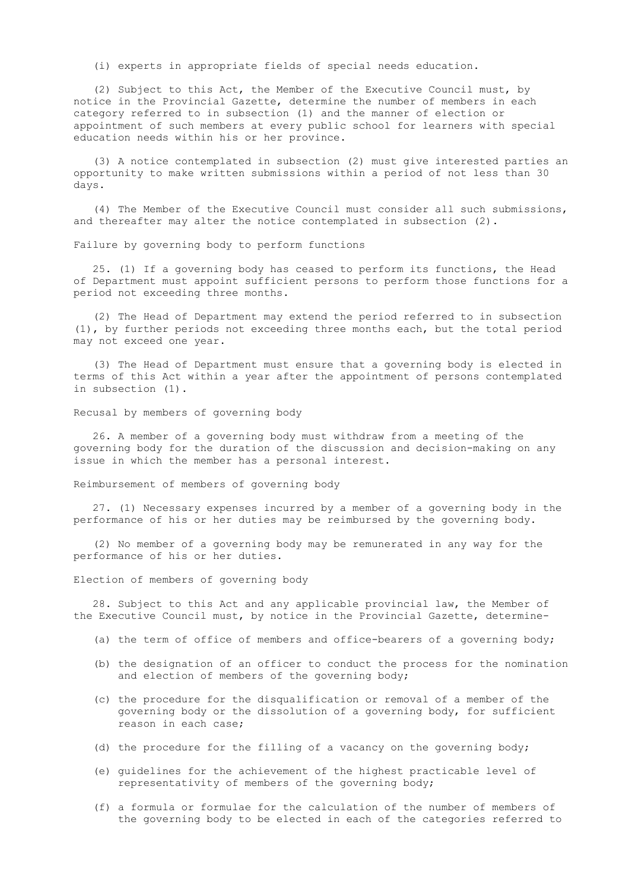(i) experts in appropriate fields of special needs education.

 (2) Subject to this Act, the Member of the Executive Council must, by notice in the Provincial Gazette, determine the number of members in each category referred to in subsection (1) and the manner of election or appointment of such members at every public school for learners with special education needs within his or her province.

 (3) A notice contemplated in subsection (2) must give interested parties an opportunity to make written submissions within a period of not less than 30 days.

 (4) The Member of the Executive Council must consider all such submissions, and thereafter may alter the notice contemplated in subsection (2).

Failure by governing body to perform functions

 25. (1) If a governing body has ceased to perform its functions, the Head of Department must appoint sufficient persons to perform those functions for a period not exceeding three months.

 (2) The Head of Department may extend the period referred to in subsection (1), by further periods not exceeding three months each, but the total period may not exceed one year.

 (3) The Head of Department must ensure that a governing body is elected in terms of this Act within a year after the appointment of persons contemplated in subsection (1).

Recusal by members of governing body

 26. A member of a governing body must withdraw from a meeting of the governing body for the duration of the discussion and decision-making on any issue in which the member has a personal interest.

Reimbursement of members of governing body

 27. (1) Necessary expenses incurred by a member of a governing body in the performance of his or her duties may be reimbursed by the governing body.

 (2) No member of a governing body may be remunerated in any way for the performance of his or her duties.

Election of members of governing body

 28. Subject to this Act and any applicable provincial law, the Member of the Executive Council must, by notice in the Provincial Gazette, determine-

- (a) the term of office of members and office-bearers of a governing body;
- (b) the designation of an officer to conduct the process for the nomination and election of members of the governing body;
- (c) the procedure for the disqualification or removal of a member of the governing body or the dissolution of a governing body, for sufficient reason in each case;
- (d) the procedure for the filling of a vacancy on the governing body;
- (e) guidelines for the achievement of the highest practicable level of representativity of members of the governing body;
- (f) a formula or formulae for the calculation of the number of members of the governing body to be elected in each of the categories referred to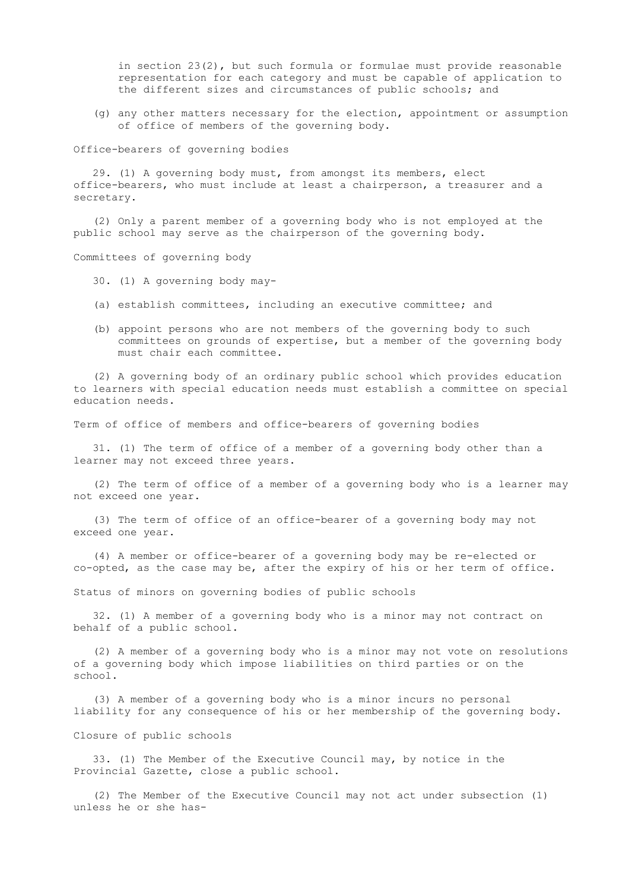in section  $23(2)$ , but such formula or formulae must provide reasonable representation for each category and must be capable of application to the different sizes and circumstances of public schools; and

 (g) any other matters necessary for the election, appointment or assumption of office of members of the governing body.

Office-bearers of governing bodies

 29. (1) A governing body must, from amongst its members, elect office-bearers, who must include at least a chairperson, a treasurer and a secretary.

 (2) Only a parent member of a governing body who is not employed at the public school may serve as the chairperson of the governing body.

Committees of governing body

- 30. (1) A governing body may-
- (a) establish committees, including an executive committee; and
- (b) appoint persons who are not members of the governing body to such committees on grounds of expertise, but a member of the governing body must chair each committee.

 (2) A governing body of an ordinary public school which provides education to learners with special education needs must establish a committee on special education needs.

Term of office of members and office-bearers of governing bodies

 31. (1) The term of office of a member of a governing body other than a learner may not exceed three years.

 (2) The term of office of a member of a governing body who is a learner may not exceed one year.

 (3) The term of office of an office-bearer of a governing body may not exceed one year.

 (4) A member or office-bearer of a governing body may be re-elected or co-opted, as the case may be, after the expiry of his or her term of office.

Status of minors on governing bodies of public schools

 32. (1) A member of a governing body who is a minor may not contract on behalf of a public school.

 (2) A member of a governing body who is a minor may not vote on resolutions of a governing body which impose liabilities on third parties or on the school.

 (3) A member of a governing body who is a minor incurs no personal liability for any consequence of his or her membership of the governing body.

Closure of public schools

 33. (1) The Member of the Executive Council may, by notice in the Provincial Gazette, close a public school.

 (2) The Member of the Executive Council may not act under subsection (1) unless he or she has-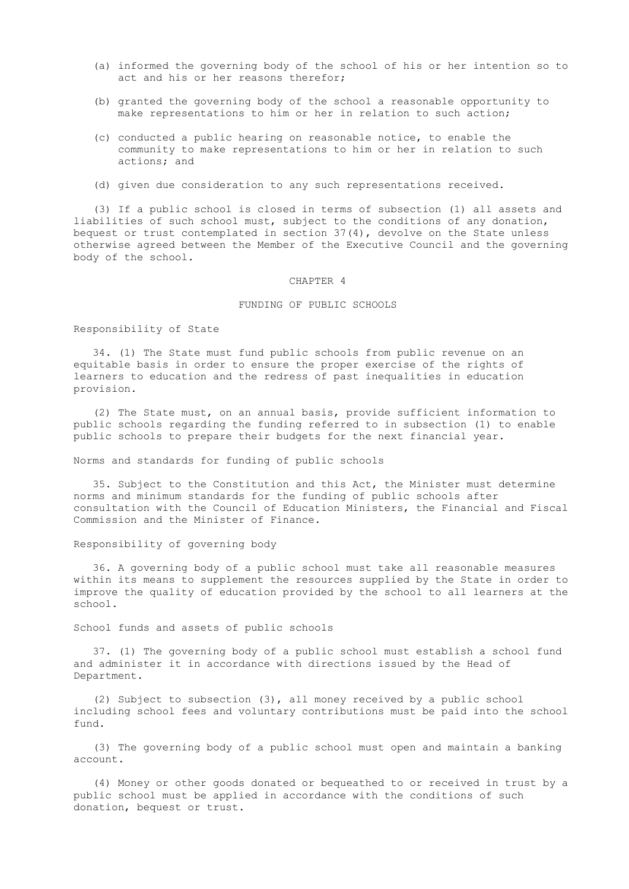- (a) informed the governing body of the school of his or her intention so to act and his or her reasons therefor;
- (b) granted the governing body of the school a reasonable opportunity to make representations to him or her in relation to such action;
- (c) conducted a public hearing on reasonable notice, to enable the community to make representations to him or her in relation to such actions; and
- (d) given due consideration to any such representations received.

 (3) If a public school is closed in terms of subsection (1) all assets and liabilities of such school must, subject to the conditions of any donation, bequest or trust contemplated in section 37(4), devolve on the State unless otherwise agreed between the Member of the Executive Council and the governing body of the school.

#### CHAPTER 4

#### FUNDING OF PUBLIC SCHOOLS

#### Responsibility of State

 34. (1) The State must fund public schools from public revenue on an equitable basis in order to ensure the proper exercise of the rights of learners to education and the redress of past inequalities in education provision.

 (2) The State must, on an annual basis, provide sufficient information to public schools regarding the funding referred to in subsection (1) to enable public schools to prepare their budgets for the next financial year.

Norms and standards for funding of public schools

 35. Subject to the Constitution and this Act, the Minister must determine norms and minimum standards for the funding of public schools after consultation with the Council of Education Ministers, the Financial and Fiscal Commission and the Minister of Finance.

#### Responsibility of governing body

 36. A governing body of a public school must take all reasonable measures within its means to supplement the resources supplied by the State in order to improve the quality of education provided by the school to all learners at the school.

School funds and assets of public schools

 37. (1) The governing body of a public school must establish a school fund and administer it in accordance with directions issued by the Head of Department.

 (2) Subject to subsection (3), all money received by a public school including school fees and voluntary contributions must be paid into the school fund.

 (3) The governing body of a public school must open and maintain a banking account.

 (4) Money or other goods donated or bequeathed to or received in trust by a public school must be applied in accordance with the conditions of such donation, bequest or trust.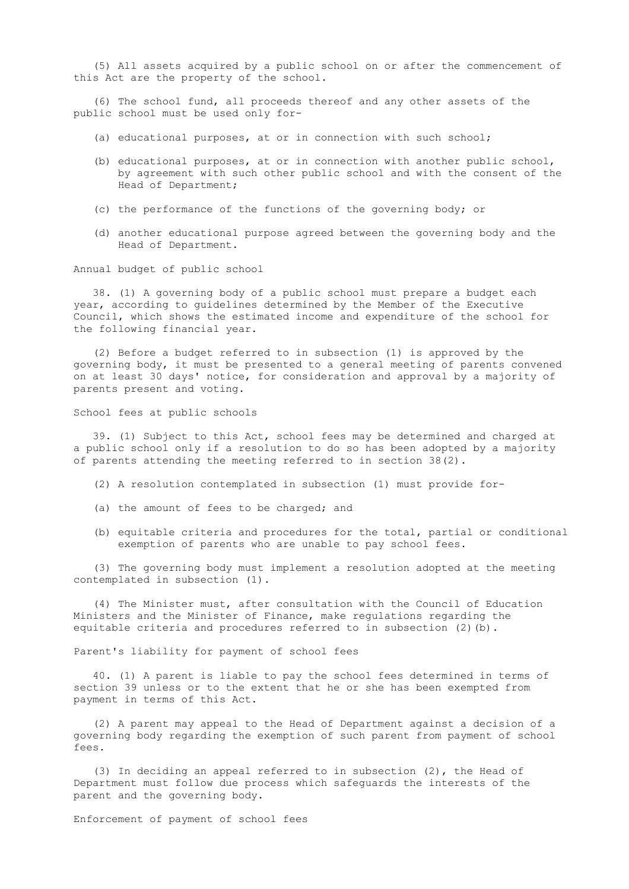(5) All assets acquired by a public school on or after the commencement of this Act are the property of the school.

 (6) The school fund, all proceeds thereof and any other assets of the public school must be used only for-

- (a) educational purposes, at or in connection with such school;
- (b) educational purposes, at or in connection with another public school, by agreement with such other public school and with the consent of the Head of Department;
- (c) the performance of the functions of the governing body; or
- (d) another educational purpose agreed between the governing body and the Head of Department.

Annual budget of public school

 38. (1) A governing body of a public school must prepare a budget each year, according to guidelines determined by the Member of the Executive Council, which shows the estimated income and expenditure of the school for the following financial year.

 (2) Before a budget referred to in subsection (1) is approved by the governing body, it must be presented to a general meeting of parents convened on at least 30 days' notice, for consideration and approval by a majority of parents present and voting.

School fees at public schools

 39. (1) Subject to this Act, school fees may be determined and charged at a public school only if a resolution to do so has been adopted by a majority of parents attending the meeting referred to in section 38(2).

- (2) A resolution contemplated in subsection (1) must provide for-
- (a) the amount of fees to be charged; and
- (b) equitable criteria and procedures for the total, partial or conditional exemption of parents who are unable to pay school fees.

 (3) The governing body must implement a resolution adopted at the meeting contemplated in subsection (1).

 (4) The Minister must, after consultation with the Council of Education Ministers and the Minister of Finance, make regulations regarding the equitable criteria and procedures referred to in subsection (2)(b).

Parent's liability for payment of school fees

 40. (1) A parent is liable to pay the school fees determined in terms of section 39 unless or to the extent that he or she has been exempted from payment in terms of this Act.

 (2) A parent may appeal to the Head of Department against a decision of a governing body regarding the exemption of such parent from payment of school fees.

 (3) In deciding an appeal referred to in subsection (2), the Head of Department must follow due process which safeguards the interests of the parent and the governing body.

Enforcement of payment of school fees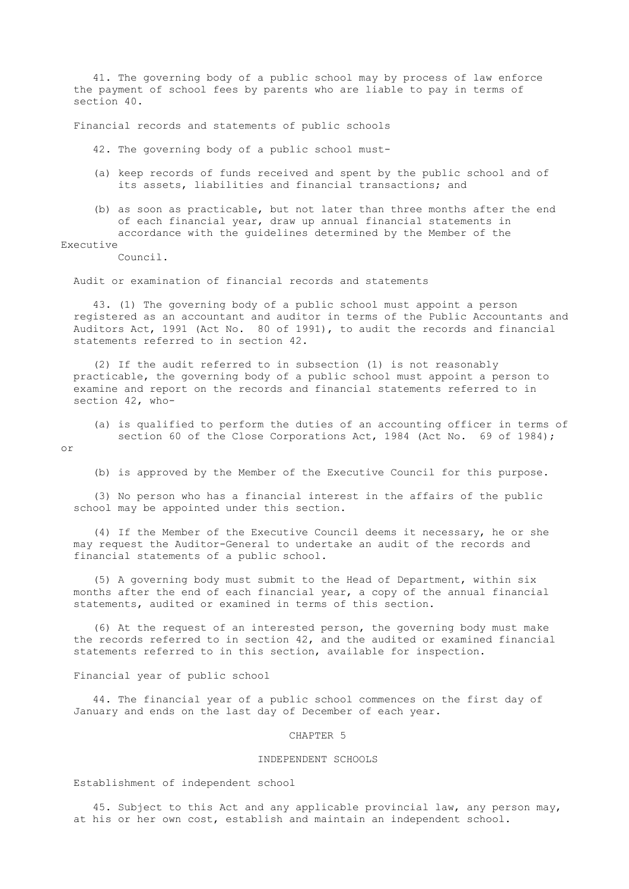41. The governing body of a public school may by process of law enforce the payment of school fees by parents who are liable to pay in terms of section 40.

Financial records and statements of public schools

42. The governing body of a public school must-

- (a) keep records of funds received and spent by the public school and of its assets, liabilities and financial transactions; and
- (b) as soon as practicable, but not later than three months after the end of each financial year, draw up annual financial statements in accordance with the guidelines determined by the Member of the

Executive

Council.

Audit or examination of financial records and statements

 43. (1) The governing body of a public school must appoint a person registered as an accountant and auditor in terms of the Public Accountants and Auditors Act, 1991 (Act No. 80 of 1991), to audit the records and financial statements referred to in section 42.

 (2) If the audit referred to in subsection (1) is not reasonably practicable, the governing body of a public school must appoint a person to examine and report on the records and financial statements referred to in section 42, who-

 (a) is qualified to perform the duties of an accounting officer in terms of section 60 of the Close Corporations Act, 1984 (Act No. 69 of 1984);

or

(b) is approved by the Member of the Executive Council for this purpose.

 (3) No person who has a financial interest in the affairs of the public school may be appointed under this section.

 (4) If the Member of the Executive Council deems it necessary, he or she may request the Auditor-General to undertake an audit of the records and financial statements of a public school.

 (5) A governing body must submit to the Head of Department, within six months after the end of each financial year, a copy of the annual financial statements, audited or examined in terms of this section.

 (6) At the request of an interested person, the governing body must make the records referred to in section 42, and the audited or examined financial statements referred to in this section, available for inspection.

### Financial year of public school

 44. The financial year of a public school commences on the first day of January and ends on the last day of December of each year.

#### CHAPTER 5

# INDEPENDENT SCHOOLS

Establishment of independent school

 45. Subject to this Act and any applicable provincial law, any person may, at his or her own cost, establish and maintain an independent school.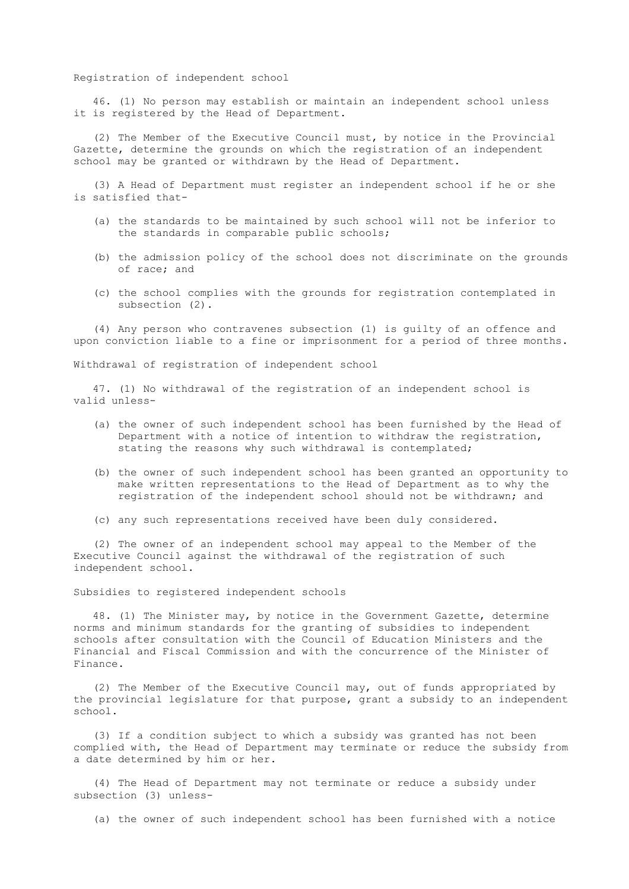# Registration of independent school

 46. (1) No person may establish or maintain an independent school unless it is registered by the Head of Department.

 (2) The Member of the Executive Council must, by notice in the Provincial Gazette, determine the grounds on which the registration of an independent school may be granted or withdrawn by the Head of Department.

 (3) A Head of Department must register an independent school if he or she is satisfied that-

- (a) the standards to be maintained by such school will not be inferior to the standards in comparable public schools;
- (b) the admission policy of the school does not discriminate on the grounds of race; and
- (c) the school complies with the grounds for registration contemplated in subsection (2).

 (4) Any person who contravenes subsection (1) is guilty of an offence and upon conviction liable to a fine or imprisonment for a period of three months.

Withdrawal of registration of independent school

 47. (1) No withdrawal of the registration of an independent school is valid unless-

- (a) the owner of such independent school has been furnished by the Head of Department with a notice of intention to withdraw the registration, stating the reasons why such withdrawal is contemplated;
- (b) the owner of such independent school has been granted an opportunity to make written representations to the Head of Department as to why the registration of the independent school should not be withdrawn; and
- (c) any such representations received have been duly considered.

 (2) The owner of an independent school may appeal to the Member of the Executive Council against the withdrawal of the registration of such independent school.

Subsidies to registered independent schools

 48. (1) The Minister may, by notice in the Government Gazette, determine norms and minimum standards for the granting of subsidies to independent schools after consultation with the Council of Education Ministers and the Financial and Fiscal Commission and with the concurrence of the Minister of Finance.

 (2) The Member of the Executive Council may, out of funds appropriated by the provincial legislature for that purpose, grant a subsidy to an independent school.

 (3) If a condition subject to which a subsidy was granted has not been complied with, the Head of Department may terminate or reduce the subsidy from a date determined by him or her.

 (4) The Head of Department may not terminate or reduce a subsidy under subsection (3) unless-

(a) the owner of such independent school has been furnished with a notice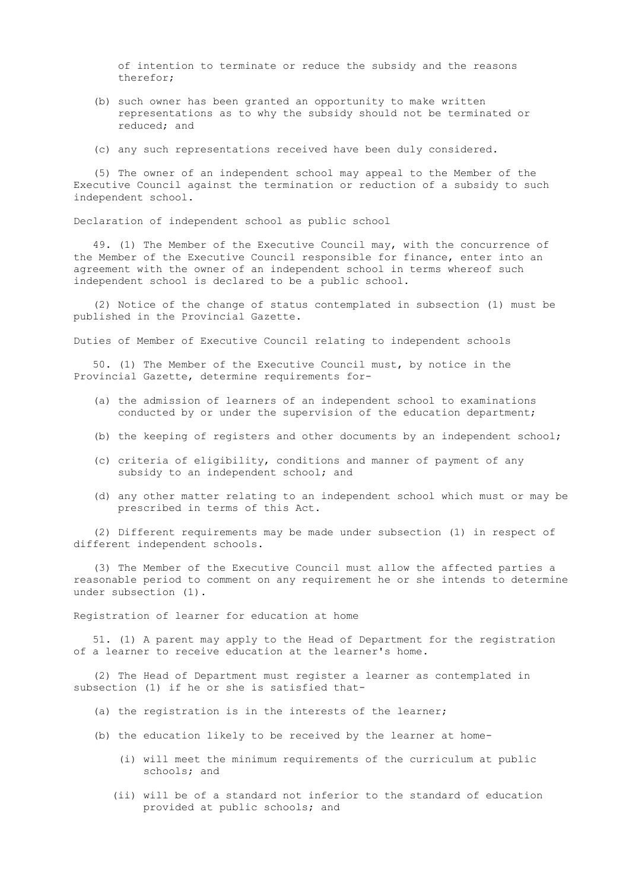of intention to terminate or reduce the subsidy and the reasons therefor;

- (b) such owner has been granted an opportunity to make written representations as to why the subsidy should not be terminated or reduced; and
- (c) any such representations received have been duly considered.

 (5) The owner of an independent school may appeal to the Member of the Executive Council against the termination or reduction of a subsidy to such independent school.

Declaration of independent school as public school

 49. (1) The Member of the Executive Council may, with the concurrence of the Member of the Executive Council responsible for finance, enter into an agreement with the owner of an independent school in terms whereof such independent school is declared to be a public school.

 (2) Notice of the change of status contemplated in subsection (1) must be published in the Provincial Gazette.

Duties of Member of Executive Council relating to independent schools

 50. (1) The Member of the Executive Council must, by notice in the Provincial Gazette, determine requirements for-

- (a) the admission of learners of an independent school to examinations conducted by or under the supervision of the education department;
- (b) the keeping of registers and other documents by an independent school;
- (c) criteria of eligibility, conditions and manner of payment of any subsidy to an independent school; and
- (d) any other matter relating to an independent school which must or may be prescribed in terms of this Act.

 (2) Different requirements may be made under subsection (1) in respect of different independent schools.

 (3) The Member of the Executive Council must allow the affected parties a reasonable period to comment on any requirement he or she intends to determine under subsection (1).

Registration of learner for education at home

 51. (1) A parent may apply to the Head of Department for the registration of a learner to receive education at the learner's home.

 (2) The Head of Department must register a learner as contemplated in subsection (1) if he or she is satisfied that-

- (a) the registration is in the interests of the learner;
- (b) the education likely to be received by the learner at home-
	- (i) will meet the minimum requirements of the curriculum at public schools; and
	- (ii) will be of a standard not inferior to the standard of education provided at public schools; and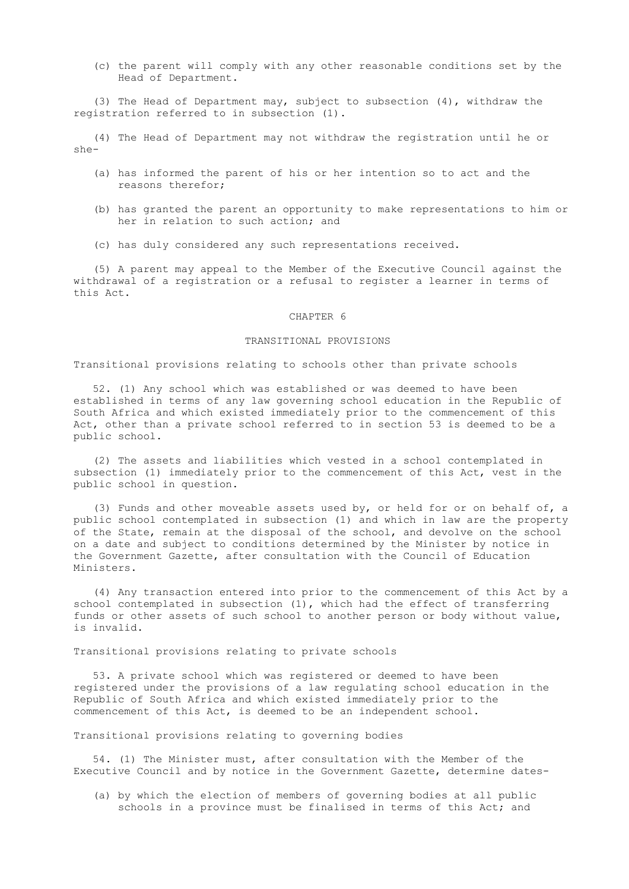(c) the parent will comply with any other reasonable conditions set by the Head of Department.

 (3) The Head of Department may, subject to subsection (4), withdraw the registration referred to in subsection (1).

 (4) The Head of Department may not withdraw the registration until he or she-

- (a) has informed the parent of his or her intention so to act and the reasons therefor;
- (b) has granted the parent an opportunity to make representations to him or her in relation to such action; and
- (c) has duly considered any such representations received.

 (5) A parent may appeal to the Member of the Executive Council against the withdrawal of a registration or a refusal to register a learner in terms of this Act.

#### CHAPTER 6

# TRANSITIONAL PROVISIONS

# Transitional provisions relating to schools other than private schools

 52. (1) Any school which was established or was deemed to have been established in terms of any law governing school education in the Republic of South Africa and which existed immediately prior to the commencement of this Act, other than a private school referred to in section 53 is deemed to be a public school.

 (2) The assets and liabilities which vested in a school contemplated in subsection (1) immediately prior to the commencement of this Act, vest in the public school in question.

 (3) Funds and other moveable assets used by, or held for or on behalf of, a public school contemplated in subsection (1) and which in law are the property of the State, remain at the disposal of the school, and devolve on the school on a date and subject to conditions determined by the Minister by notice in the Government Gazette, after consultation with the Council of Education Ministers.

 (4) Any transaction entered into prior to the commencement of this Act by a school contemplated in subsection (1), which had the effect of transferring funds or other assets of such school to another person or body without value, is invalid.

Transitional provisions relating to private schools

 53. A private school which was registered or deemed to have been registered under the provisions of a law regulating school education in the Republic of South Africa and which existed immediately prior to the commencement of this Act, is deemed to be an independent school.

Transitional provisions relating to governing bodies

 54. (1) The Minister must, after consultation with the Member of the Executive Council and by notice in the Government Gazette, determine dates-

 (a) by which the election of members of governing bodies at all public schools in a province must be finalised in terms of this Act; and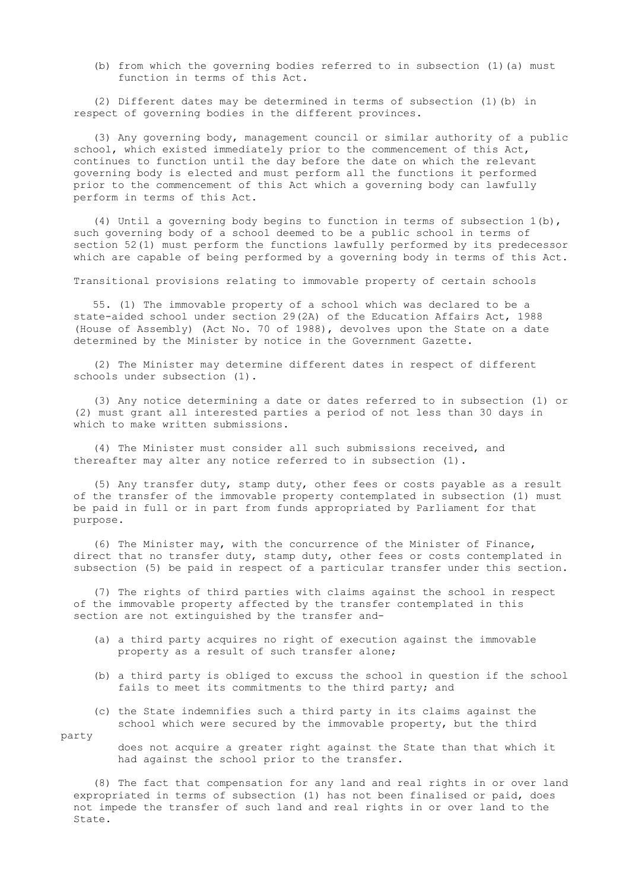(b) from which the governing bodies referred to in subsection (1)(a) must function in terms of this Act.

 (2) Different dates may be determined in terms of subsection (1)(b) in respect of governing bodies in the different provinces.

 (3) Any governing body, management council or similar authority of a public school, which existed immediately prior to the commencement of this Act, continues to function until the day before the date on which the relevant governing body is elected and must perform all the functions it performed prior to the commencement of this Act which a governing body can lawfully perform in terms of this Act.

 (4) Until a governing body begins to function in terms of subsection 1(b), such governing body of a school deemed to be a public school in terms of section 52(1) must perform the functions lawfully performed by its predecessor which are capable of being performed by a governing body in terms of this Act.

Transitional provisions relating to immovable property of certain schools

 55. (1) The immovable property of a school which was declared to be a state-aided school under section 29(2A) of the Education Affairs Act, 1988 (House of Assembly) (Act No. 70 of 1988), devolves upon the State on a date determined by the Minister by notice in the Government Gazette.

 (2) The Minister may determine different dates in respect of different schools under subsection (1).

 (3) Any notice determining a date or dates referred to in subsection (1) or (2) must grant all interested parties a period of not less than 30 days in which to make written submissions.

 (4) The Minister must consider all such submissions received, and thereafter may alter any notice referred to in subsection (1).

 (5) Any transfer duty, stamp duty, other fees or costs payable as a result of the transfer of the immovable property contemplated in subsection (1) must be paid in full or in part from funds appropriated by Parliament for that purpose.

 (6) The Minister may, with the concurrence of the Minister of Finance, direct that no transfer duty, stamp duty, other fees or costs contemplated in subsection (5) be paid in respect of a particular transfer under this section.

 (7) The rights of third parties with claims against the school in respect of the immovable property affected by the transfer contemplated in this section are not extinguished by the transfer and-

- (a) a third party acquires no right of execution against the immovable property as a result of such transfer alone;
- (b) a third party is obliged to excuss the school in question if the school fails to meet its commitments to the third party; and
- (c) the State indemnifies such a third party in its claims against the school which were secured by the immovable property, but the third

party

 does not acquire a greater right against the State than that which it had against the school prior to the transfer.

 (8) The fact that compensation for any land and real rights in or over land expropriated in terms of subsection (1) has not been finalised or paid, does not impede the transfer of such land and real rights in or over land to the State.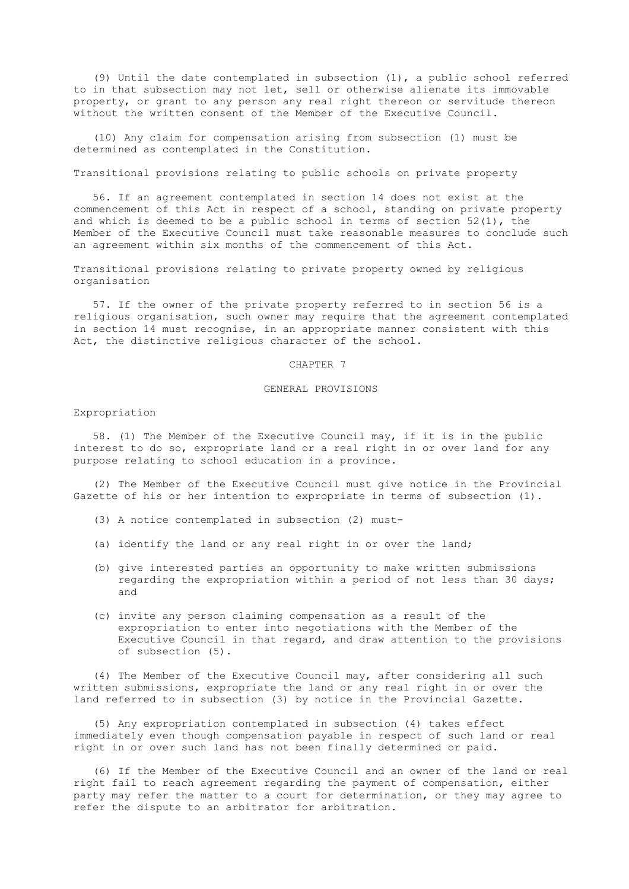(9) Until the date contemplated in subsection (1), a public school referred to in that subsection may not let, sell or otherwise alienate its immovable property, or grant to any person any real right thereon or servitude thereon without the written consent of the Member of the Executive Council.

 (10) Any claim for compensation arising from subsection (1) must be determined as contemplated in the Constitution.

Transitional provisions relating to public schools on private property

 56. If an agreement contemplated in section 14 does not exist at the commencement of this Act in respect of a school, standing on private property and which is deemed to be a public school in terms of section 52(1), the Member of the Executive Council must take reasonable measures to conclude such an agreement within six months of the commencement of this Act.

 Transitional provisions relating to private property owned by religious organisation

 57. If the owner of the private property referred to in section 56 is a religious organisation, such owner may require that the agreement contemplated in section 14 must recognise, in an appropriate manner consistent with this Act, the distinctive religious character of the school.

### CHAPTER 7

# GENERAL PROVISIONS

# Expropriation

 58. (1) The Member of the Executive Council may, if it is in the public interest to do so, expropriate land or a real right in or over land for any purpose relating to school education in a province.

 (2) The Member of the Executive Council must give notice in the Provincial Gazette of his or her intention to expropriate in terms of subsection (1).

- (3) A notice contemplated in subsection (2) must-
- (a) identify the land or any real right in or over the land;
- (b) give interested parties an opportunity to make written submissions regarding the expropriation within a period of not less than 30 days; and
- (c) invite any person claiming compensation as a result of the expropriation to enter into negotiations with the Member of the Executive Council in that regard, and draw attention to the provisions of subsection (5).

 (4) The Member of the Executive Council may, after considering all such written submissions, expropriate the land or any real right in or over the land referred to in subsection (3) by notice in the Provincial Gazette.

 (5) Any expropriation contemplated in subsection (4) takes effect immediately even though compensation payable in respect of such land or real right in or over such land has not been finally determined or paid.

 (6) If the Member of the Executive Council and an owner of the land or real right fail to reach agreement regarding the payment of compensation, either party may refer the matter to a court for determination, or they may agree to refer the dispute to an arbitrator for arbitration.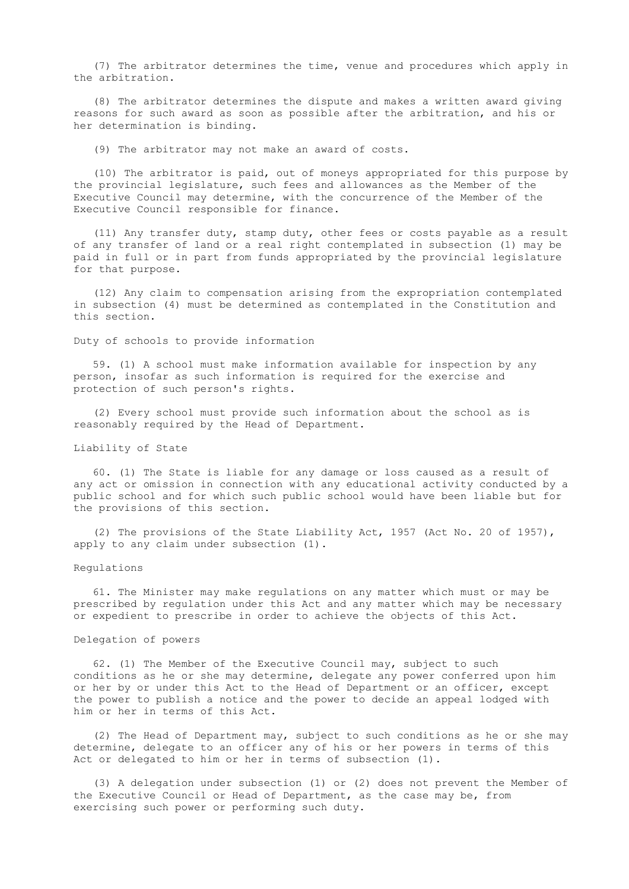(7) The arbitrator determines the time, venue and procedures which apply in the arbitration.

 (8) The arbitrator determines the dispute and makes a written award giving reasons for such award as soon as possible after the arbitration, and his or her determination is binding.

(9) The arbitrator may not make an award of costs.

 (10) The arbitrator is paid, out of moneys appropriated for this purpose by the provincial legislature, such fees and allowances as the Member of the Executive Council may determine, with the concurrence of the Member of the Executive Council responsible for finance.

 (11) Any transfer duty, stamp duty, other fees or costs payable as a result of any transfer of land or a real right contemplated in subsection (1) may be paid in full or in part from funds appropriated by the provincial legislature for that purpose.

 (12) Any claim to compensation arising from the expropriation contemplated in subsection (4) must be determined as contemplated in the Constitution and this section.

Duty of schools to provide information

 59. (1) A school must make information available for inspection by any person, insofar as such information is required for the exercise and protection of such person's rights.

 (2) Every school must provide such information about the school as is reasonably required by the Head of Department.

# Liability of State

 60. (1) The State is liable for any damage or loss caused as a result of any act or omission in connection with any educational activity conducted by a public school and for which such public school would have been liable but for the provisions of this section.

 (2) The provisions of the State Liability Act, 1957 (Act No. 20 of 1957), apply to any claim under subsection (1).

#### Regulations

 61. The Minister may make regulations on any matter which must or may be prescribed by regulation under this Act and any matter which may be necessary or expedient to prescribe in order to achieve the objects of this Act.

### Delegation of powers

 62. (1) The Member of the Executive Council may, subject to such conditions as he or she may determine, delegate any power conferred upon him or her by or under this Act to the Head of Department or an officer, except the power to publish a notice and the power to decide an appeal lodged with him or her in terms of this Act.

 (2) The Head of Department may, subject to such conditions as he or she may determine, delegate to an officer any of his or her powers in terms of this Act or delegated to him or her in terms of subsection (1).

 (3) A delegation under subsection (1) or (2) does not prevent the Member of the Executive Council or Head of Department, as the case may be, from exercising such power or performing such duty.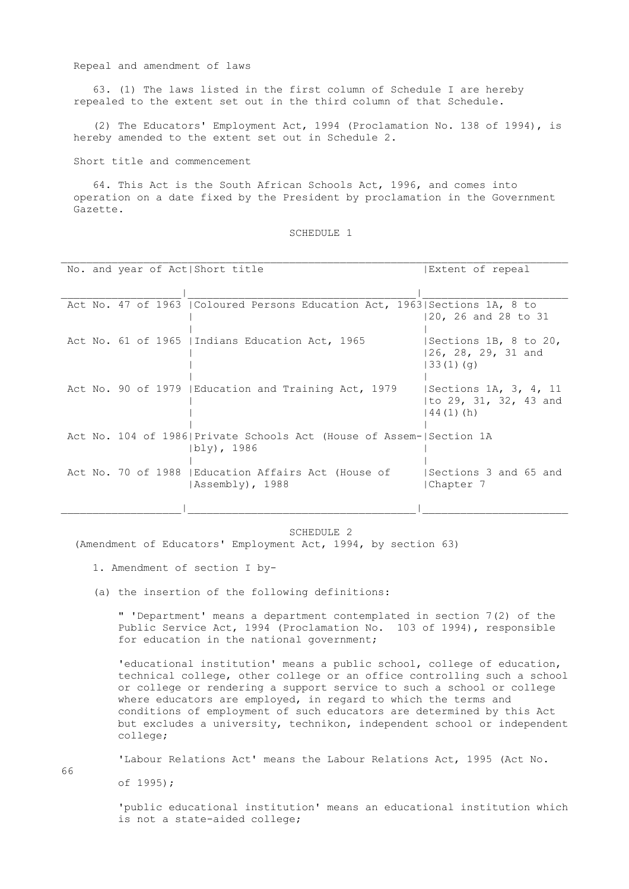### Repeal and amendment of laws

 63. (1) The laws listed in the first column of Schedule I are hereby repealed to the extent set out in the third column of that Schedule.

 (2) The Educators' Employment Act, 1994 (Proclamation No. 138 of 1994), is hereby amended to the extent set out in Schedule 2.

Short title and commencement

 64. This Act is the South African Schools Act, 1996, and comes into operation on a date fixed by the President by proclamation in the Government Gazette.

#### SCHEDULE 1

| No. and year of Act Short title |                                                                                    | Extent of repeal                                               |
|---------------------------------|------------------------------------------------------------------------------------|----------------------------------------------------------------|
|                                 |                                                                                    |                                                                |
|                                 | Act No. 47 of 1963   Coloured Persons Education Act, 1963  Sections 1A, 8 to       | 20, 26 and 28 to 31                                            |
|                                 | Act No. 61 of 1965   Indians Education Act, 1965                                   | Sections 1B, 8 to 20,<br>26, 28, 29, 31 and<br>33(1)(q)        |
|                                 | Act No. 90 of 1979   Education and Training Act, 1979                              | Sections 1A, 3, 4, 11<br> to 29, 31, 32, 43 and<br>$44(1)$ (h) |
|                                 | Act No. 104 of 1986 Private Schools Act (House of Assem- Section 1A<br>(bly), 1986 |                                                                |
|                                 | Act No. 70 of 1988   Education Affairs Act (House of<br> Assembly), 1988           | Sections 3 and 65 and<br>Chapter 7                             |
|                                 |                                                                                    |                                                                |

#### SCHEDULE 2

(Amendment of Educators' Employment Act, 1994, by section 63)

- 1. Amendment of section I by-
- (a) the insertion of the following definitions:

 " 'Department' means a department contemplated in section 7(2) of the Public Service Act, 1994 (Proclamation No. 103 of 1994), responsible for education in the national government;

 'educational institution' means a public school, college of education, technical college, other college or an office controlling such a school or college or rendering a support service to such a school or college where educators are employed, in regard to which the terms and conditions of employment of such educators are determined by this Act but excludes a university, technikon, independent school or independent college;

'Labour Relations Act' means the Labour Relations Act, 1995 (Act No.

of 1995);

 'public educational institution' means an educational institution which is not a state-aided college;

66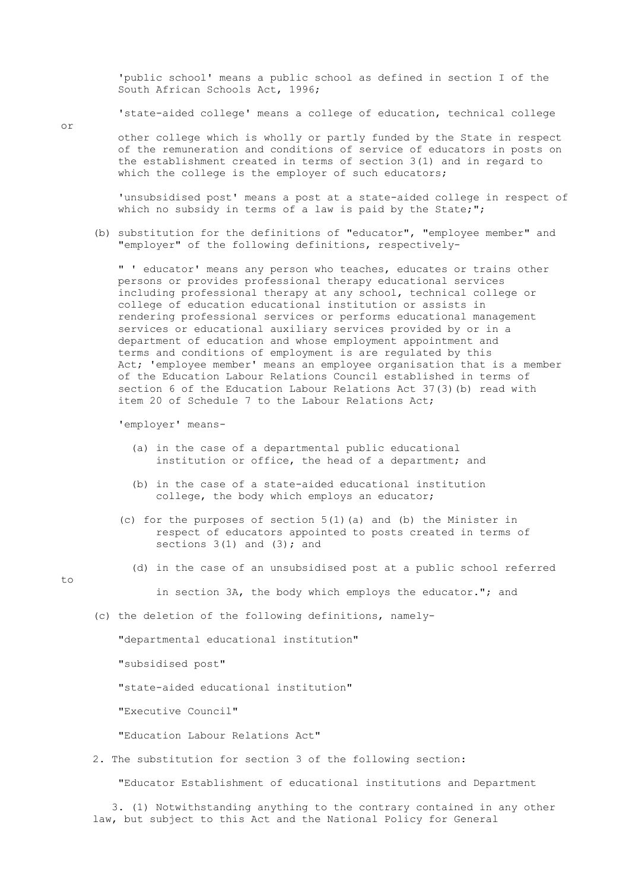'public school' means a public school as defined in section I of the South African Schools Act, 1996;

'state-aided college' means a college of education, technical college

 other college which is wholly or partly funded by the State in respect of the remuneration and conditions of service of educators in posts on the establishment created in terms of section 3(1) and in regard to which the college is the employer of such educators;

 'unsubsidised post' means a post at a state-aided college in respect of which no subsidy in terms of a law is paid by the State;";

 (b) substitution for the definitions of "educator", "employee member" and "employer" of the following definitions, respectively-

 " ' educator' means any person who teaches, educates or trains other persons or provides professional therapy educational services including professional therapy at any school, technical college or college of education educational institution or assists in rendering professional services or performs educational management services or educational auxiliary services provided by or in a department of education and whose employment appointment and terms and conditions of employment is are regulated by this Act; 'employee member' means an employee organisation that is a member of the Education Labour Relations Council established in terms of section 6 of the Education Labour Relations Act 37(3)(b) read with item 20 of Schedule 7 to the Labour Relations Act;

'employer' means-

- (a) in the case of a departmental public educational institution or office, the head of a department; and
- (b) in the case of a state-aided educational institution college, the body which employs an educator;
- (c) for the purposes of section  $5(1)$  (a) and (b) the Minister in respect of educators appointed to posts created in terms of sections  $3(1)$  and  $(3)$ ; and
	- (d) in the case of an unsubsidised post at a public school referred

to

in section 3A, the body which employs the educator."; and

(c) the deletion of the following definitions, namely-

"departmental educational institution"

"subsidised post"

"state-aided educational institution"

"Executive Council"

"Education Labour Relations Act"

2. The substitution for section 3 of the following section:

"Educator Establishment of educational institutions and Department

 3. (1) Notwithstanding anything to the contrary contained in any other law, but subject to this Act and the National Policy for General

or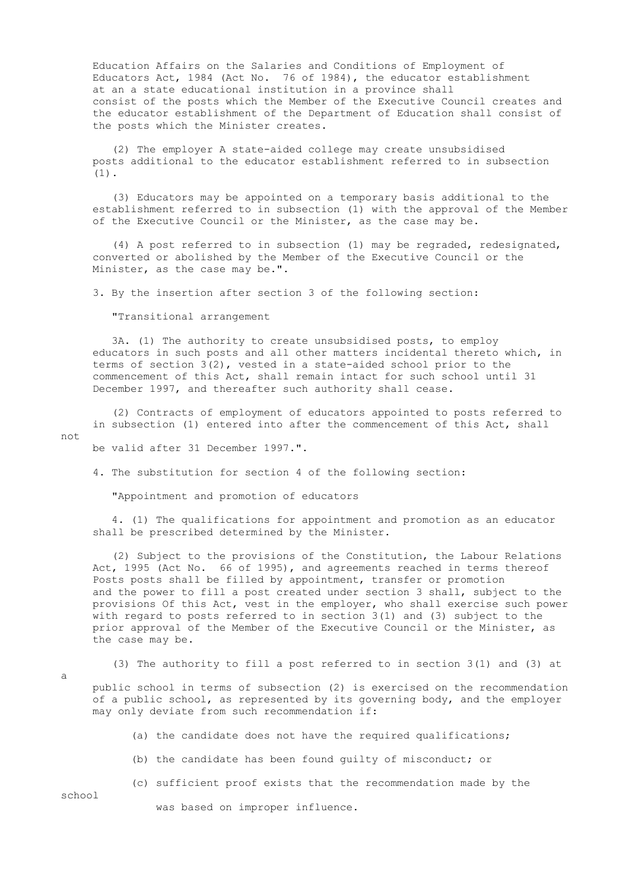Education Affairs on the Salaries and Conditions of Employment of Educators Act, 1984 (Act No. 76 of 1984), the educator establishment at an a state educational institution in a province shall consist of the posts which the Member of the Executive Council creates and the educator establishment of the Department of Education shall consist of the posts which the Minister creates.

 (2) The employer A state-aided college may create unsubsidised posts additional to the educator establishment referred to in subsection (1).

 (3) Educators may be appointed on a temporary basis additional to the establishment referred to in subsection (1) with the approval of the Member of the Executive Council or the Minister, as the case may be.

 (4) A post referred to in subsection (1) may be regraded, redesignated, converted or abolished by the Member of the Executive Council or the Minister, as the case may be.".

3. By the insertion after section 3 of the following section:

"Transitional arrangement

 3A. (1) The authority to create unsubsidised posts, to employ educators in such posts and all other matters incidental thereto which, in terms of section 3(2), vested in a state-aided school prior to the commencement of this Act, shall remain intact for such school until 31 December 1997, and thereafter such authority shall cease.

 (2) Contracts of employment of educators appointed to posts referred to in subsection (1) entered into after the commencement of this Act, shall not

be valid after 31 December 1997.".

4. The substitution for section 4 of the following section:

"Appointment and promotion of educators

 4. (1) The qualifications for appointment and promotion as an educator shall be prescribed determined by the Minister.

 (2) Subject to the provisions of the Constitution, the Labour Relations Act, 1995 (Act No. 66 of 1995), and agreements reached in terms thereof Posts posts shall be filled by appointment, transfer or promotion and the power to fill a post created under section 3 shall, subject to the provisions Of this Act, vest in the employer, who shall exercise such power with regard to posts referred to in section 3(1) and (3) subject to the prior approval of the Member of the Executive Council or the Minister, as the case may be.

a

(3) The authority to fill a post referred to in section 3(1) and (3) at

 public school in terms of subsection (2) is exercised on the recommendation of a public school, as represented by its governing body, and the employer may only deviate from such recommendation if:

- (a) the candidate does not have the required qualifications;
- (b) the candidate has been found guilty of misconduct; or
- (c) sufficient proof exists that the recommendation made by the

school

was based on improper influence.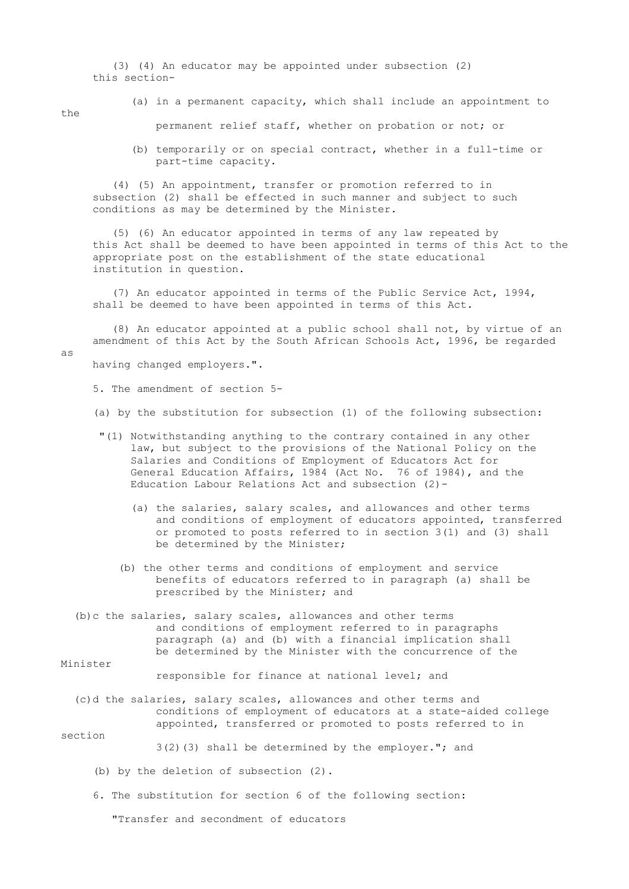(3) (4) An educator may be appointed under subsection (2) this section-

the

as

(a) in a permanent capacity, which shall include an appointment to

permanent relief staff, whether on probation or not; or

 (b) temporarily or on special contract, whether in a full-time or part-time capacity.

 (4) (5) An appointment, transfer or promotion referred to in subsection (2) shall be effected in such manner and subject to such conditions as may be determined by the Minister.

 (5) (6) An educator appointed in terms of any law repeated by this Act shall be deemed to have been appointed in terms of this Act to the appropriate post on the establishment of the state educational institution in question.

 (7) An educator appointed in terms of the Public Service Act, 1994, shall be deemed to have been appointed in terms of this Act.

 (8) An educator appointed at a public school shall not, by virtue of an amendment of this Act by the South African Schools Act, 1996, be regarded

having changed employers.".

5. The amendment of section 5-

(a) by the substitution for subsection (1) of the following subsection:

- "(1) Notwithstanding anything to the contrary contained in any other law, but subject to the provisions of the National Policy on the Salaries and Conditions of Employment of Educators Act for General Education Affairs, 1984 (Act No. 76 of 1984), and the Education Labour Relations Act and subsection (2)-
	- (a) the salaries, salary scales, and allowances and other terms and conditions of employment of educators appointed, transferred or promoted to posts referred to in section 3(1) and (3) shall be determined by the Minister;
	- (b) the other terms and conditions of employment and service benefits of educators referred to in paragraph (a) shall be prescribed by the Minister; and
- (b)c the salaries, salary scales, allowances and other terms and conditions of employment referred to in paragraphs paragraph (a) and (b) with a financial implication shall be determined by the Minister with the concurrence of the

Minister

responsible for finance at national level; and

 (c)d the salaries, salary scales, allowances and other terms and conditions of employment of educators at a state-aided college appointed, transferred or promoted to posts referred to in

# section

3(2)(3) shall be determined by the employer."; and

- (b) by the deletion of subsection (2).
- 6. The substitution for section 6 of the following section:

"Transfer and secondment of educators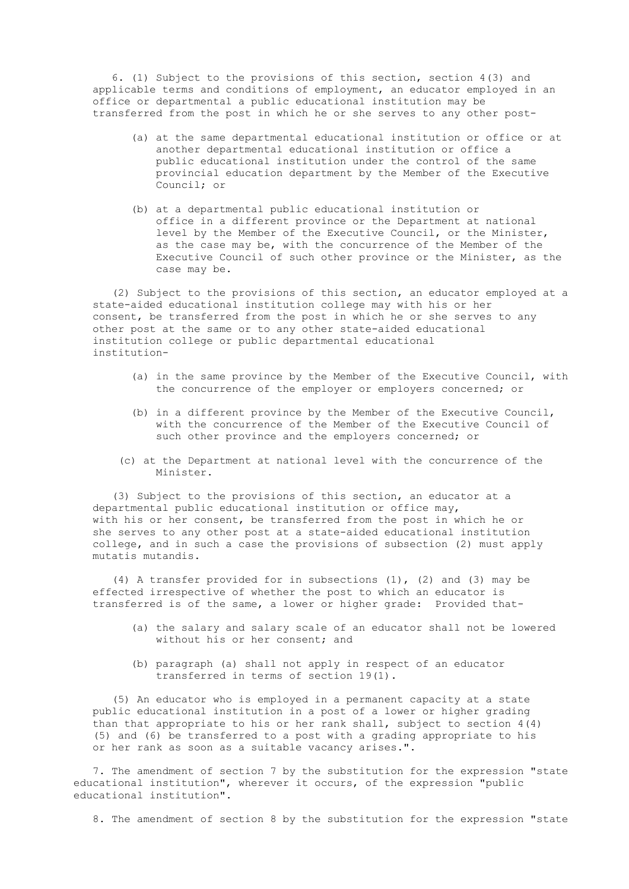6. (1) Subject to the provisions of this section, section 4(3) and applicable terms and conditions of employment, an educator employed in an office or departmental a public educational institution may be transferred from the post in which he or she serves to any other post-

- (a) at the same departmental educational institution or office or at another departmental educational institution or office a public educational institution under the control of the same provincial education department by the Member of the Executive Council; or
- (b) at a departmental public educational institution or office in a different province or the Department at national level by the Member of the Executive Council, or the Minister, as the case may be, with the concurrence of the Member of the Executive Council of such other province or the Minister, as the case may be.

 (2) Subject to the provisions of this section, an educator employed at a state-aided educational institution college may with his or her consent, be transferred from the post in which he or she serves to any other post at the same or to any other state-aided educational institution college or public departmental educational institution-

- (a) in the same province by the Member of the Executive Council, with the concurrence of the employer or employers concerned; or
- (b) in a different province by the Member of the Executive Council, with the concurrence of the Member of the Executive Council of such other province and the employers concerned; or
- (c) at the Department at national level with the concurrence of the Minister.

 (3) Subject to the provisions of this section, an educator at a departmental public educational institution or office may, with his or her consent, be transferred from the post in which he or she serves to any other post at a state-aided educational institution college, and in such a case the provisions of subsection (2) must apply mutatis mutandis.

 (4) A transfer provided for in subsections (1), (2) and (3) may be effected irrespective of whether the post to which an educator is transferred is of the same, a lower or higher grade: Provided that-

- (a) the salary and salary scale of an educator shall not be lowered without his or her consent; and
- (b) paragraph (a) shall not apply in respect of an educator transferred in terms of section 19(1).

 (5) An educator who is employed in a permanent capacity at a state public educational institution in a post of a lower or higher grading than that appropriate to his or her rank shall, subject to section  $4(4)$  (5) and (6) be transferred to a post with a grading appropriate to his or her rank as soon as a suitable vacancy arises.".

 7. The amendment of section 7 by the substitution for the expression "state educational institution", wherever it occurs, of the expression "public educational institution".

8. The amendment of section 8 by the substitution for the expression "state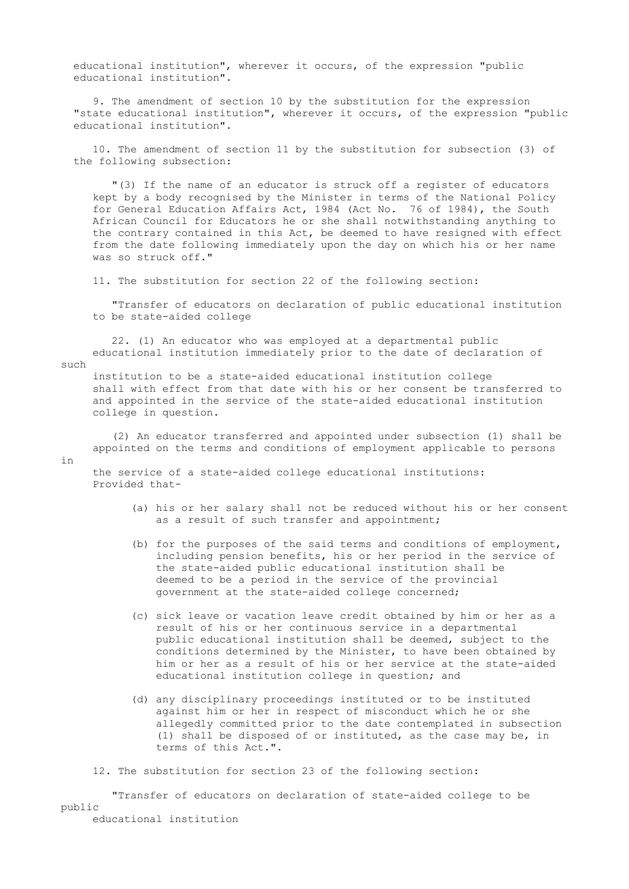educational institution", wherever it occurs, of the expression "public educational institution".

 9. The amendment of section 10 by the substitution for the expression "state educational institution", wherever it occurs, of the expression "public educational institution".

 10. The amendment of section 11 by the substitution for subsection (3) of the following subsection:

 "(3) If the name of an educator is struck off a register of educators kept by a body recognised by the Minister in terms of the National Policy for General Education Affairs Act, 1984 (Act No. 76 of 1984), the South African Council for Educators he or she shall notwithstanding anything to the contrary contained in this Act, be deemed to have resigned with effect from the date following immediately upon the day on which his or her name was so struck off."

11. The substitution for section 22 of the following section:

 "Transfer of educators on declaration of public educational institution to be state-aided college

 22. (1) An educator who was employed at a departmental public educational institution immediately prior to the date of declaration of

such

 institution to be a state-aided educational institution college shall with effect from that date with his or her consent be transferred to and appointed in the service of the state-aided educational institution college in question.

 (2) An educator transferred and appointed under subsection (1) shall be appointed on the terms and conditions of employment applicable to persons

in

 the service of a state-aided college educational institutions: Provided that-

- (a) his or her salary shall not be reduced without his or her consent as a result of such transfer and appointment;
- (b) for the purposes of the said terms and conditions of employment, including pension benefits, his or her period in the service of the state-aided public educational institution shall be deemed to be a period in the service of the provincial government at the state-aided college concerned;
- (c) sick leave or vacation leave credit obtained by him or her as a result of his or her continuous service in a departmental public educational institution shall be deemed, subject to the conditions determined by the Minister, to have been obtained by him or her as a result of his or her service at the state-aided educational institution college in question; and
- (d) any disciplinary proceedings instituted or to be instituted against him or her in respect of misconduct which he or she allegedly committed prior to the date contemplated in subsection (1) shall be disposed of or instituted, as the case may be, in terms of this Act.".

12. The substitution for section 23 of the following section:

 "Transfer of educators on declaration of state-aided college to be public

educational institution